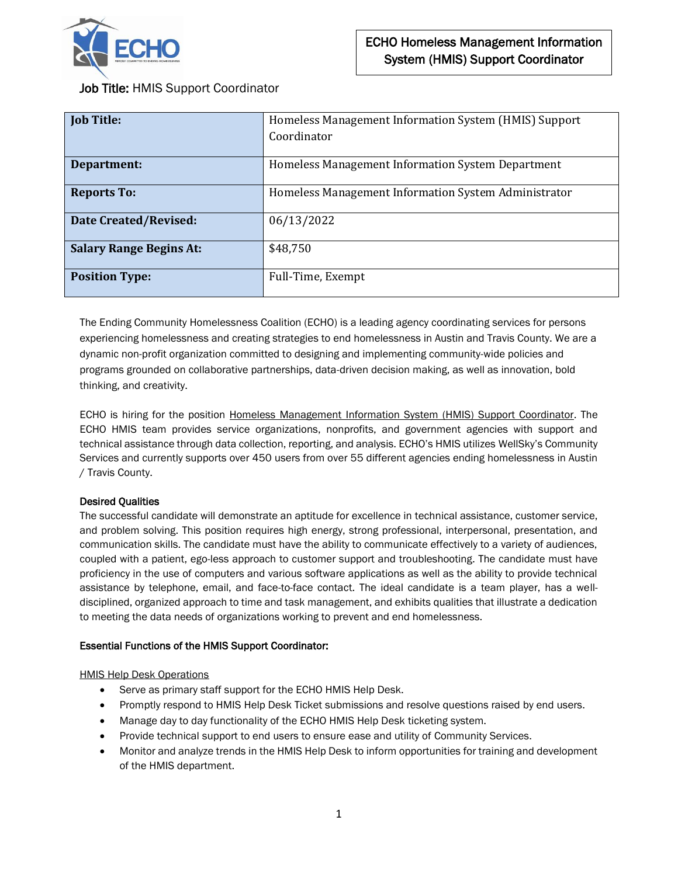

Job Title: HMIS Support Coordinator

| <b>Job Title:</b>              | Homeless Management Information System (HMIS) Support |
|--------------------------------|-------------------------------------------------------|
|                                | Coordinator                                           |
|                                |                                                       |
| Department:                    | Homeless Management Information System Department     |
| <b>Reports To:</b>             | Homeless Management Information System Administrator  |
| <b>Date Created/Revised:</b>   | 06/13/2022                                            |
| <b>Salary Range Begins At:</b> | \$48,750                                              |
| <b>Position Type:</b>          | Full-Time, Exempt                                     |

The Ending Community Homelessness Coalition (ECHO) is a leading agency coordinating services for persons experiencing homelessness and creating strategies to end homelessness in Austin and Travis County. We are a dynamic non-profit organization committed to designing and implementing community-wide policies and programs grounded on collaborative partnerships, data-driven decision making, as well as innovation, bold thinking, and creativity.

ECHO is hiring for the position Homeless Management Information System (HMIS) Support Coordinator. The ECHO HMIS team provides service organizations, nonprofits, and government agencies with support and technical assistance through data collection, reporting, and analysis. ECHO's HMIS utilizes WellSky's Community Services and currently supports over 450 users from over 55 different agencies ending homelessness in Austin / Travis County.

## Desired Qualities

The successful candidate will demonstrate an aptitude for excellence in technical assistance, customer service, and problem solving. This position requires high energy, strong professional, interpersonal, presentation, and communication skills. The candidate must have the ability to communicate effectively to a variety of audiences, coupled with a patient, ego-less approach to customer support and troubleshooting. The candidate must have proficiency in the use of computers and various software applications as well as the ability to provide technical assistance by telephone, email, and face-to-face contact. The ideal candidate is a team player, has a welldisciplined, organized approach to time and task management, and exhibits qualities that illustrate a dedication to meeting the data needs of organizations working to prevent and end homelessness.

## Essential Functions of the HMIS Support Coordinator:

## HMIS Help Desk Operations

- Serve as primary staff support for the ECHO HMIS Help Desk.
- Promptly respond to HMIS Help Desk Ticket submissions and resolve questions raised by end users.
- Manage day to day functionality of the ECHO HMIS Help Desk ticketing system.
- Provide technical support to end users to ensure ease and utility of Community Services.
- Monitor and analyze trends in the HMIS Help Desk to inform opportunities for training and development of the HMIS department.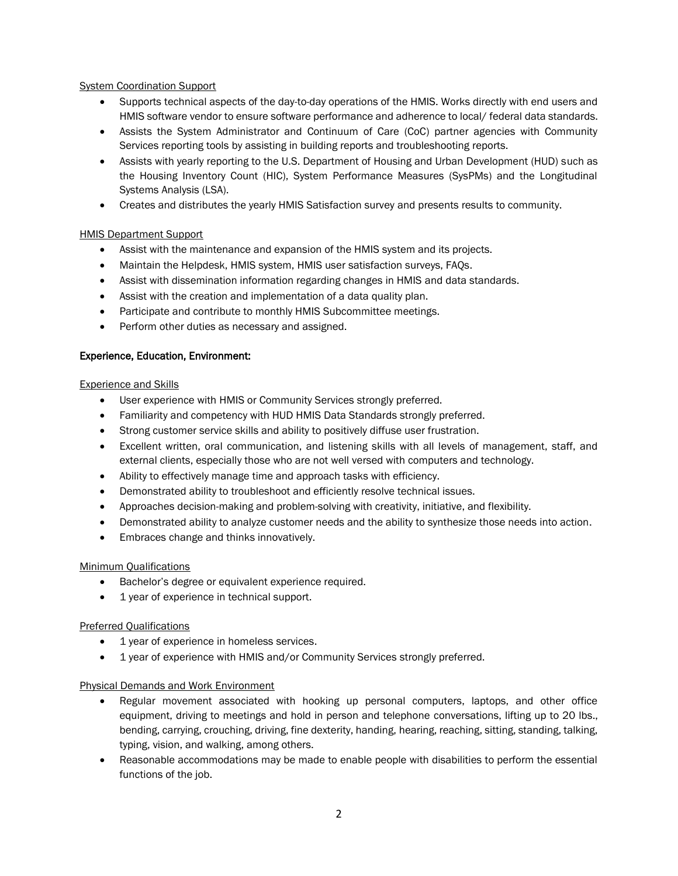## **System Coordination Support**

- Supports technical aspects of the day-to-day operations of the HMIS. Works directly with end users and HMIS software vendor to ensure software performance and adherence to local/ federal data standards.
- Assists the System Administrator and Continuum of Care (CoC) partner agencies with Community Services reporting tools by assisting in building reports and troubleshooting reports.
- Assists with yearly reporting to the U.S. Department of Housing and Urban Development (HUD) such as the Housing Inventory Count (HIC), System Performance Measures (SysPMs) and the Longitudinal Systems Analysis (LSA).
- Creates and distributes the yearly HMIS Satisfaction survey and presents results to community.

## HMIS Department Support

- Assist with the maintenance and expansion of the HMIS system and its projects.
- Maintain the Helpdesk, HMIS system, HMIS user satisfaction surveys, FAQs.
- Assist with dissemination information regarding changes in HMIS and data standards.
- Assist with the creation and implementation of a data quality plan.
- Participate and contribute to monthly HMIS Subcommittee meetings.
- Perform other duties as necessary and assigned.

# Experience, Education, Environment:

#### Experience and Skills

- User experience with HMIS or Community Services strongly preferred.
- Familiarity and competency with HUD HMIS Data Standards strongly preferred.
- Strong customer service skills and ability to positively diffuse user frustration.
- Excellent written, oral communication, and listening skills with all levels of management, staff, and external clients, especially those who are not well versed with computers and technology.
- Ability to effectively manage time and approach tasks with efficiency.
- Demonstrated ability to troubleshoot and efficiently resolve technical issues.
- Approaches decision-making and problem-solving with creativity, initiative, and flexibility.
- Demonstrated ability to analyze customer needs and the ability to synthesize those needs into action.
- Embraces change and thinks innovatively.

## Minimum Qualifications

- Bachelor's degree or equivalent experience required.
- 1 year of experience in technical support.

## Preferred Qualifications

- 1 year of experience in homeless services.
- 1 year of experience with HMIS and/or Community Services strongly preferred.

## Physical Demands and Work Environment

- Regular movement associated with hooking up personal computers, laptops, and other office equipment, driving to meetings and hold in person and telephone conversations, lifting up to 20 lbs., bending, carrying, crouching, driving, fine dexterity, handing, hearing, reaching, sitting, standing, talking, typing, vision, and walking, among others.
- Reasonable accommodations may be made to enable people with disabilities to perform the essential functions of the job.